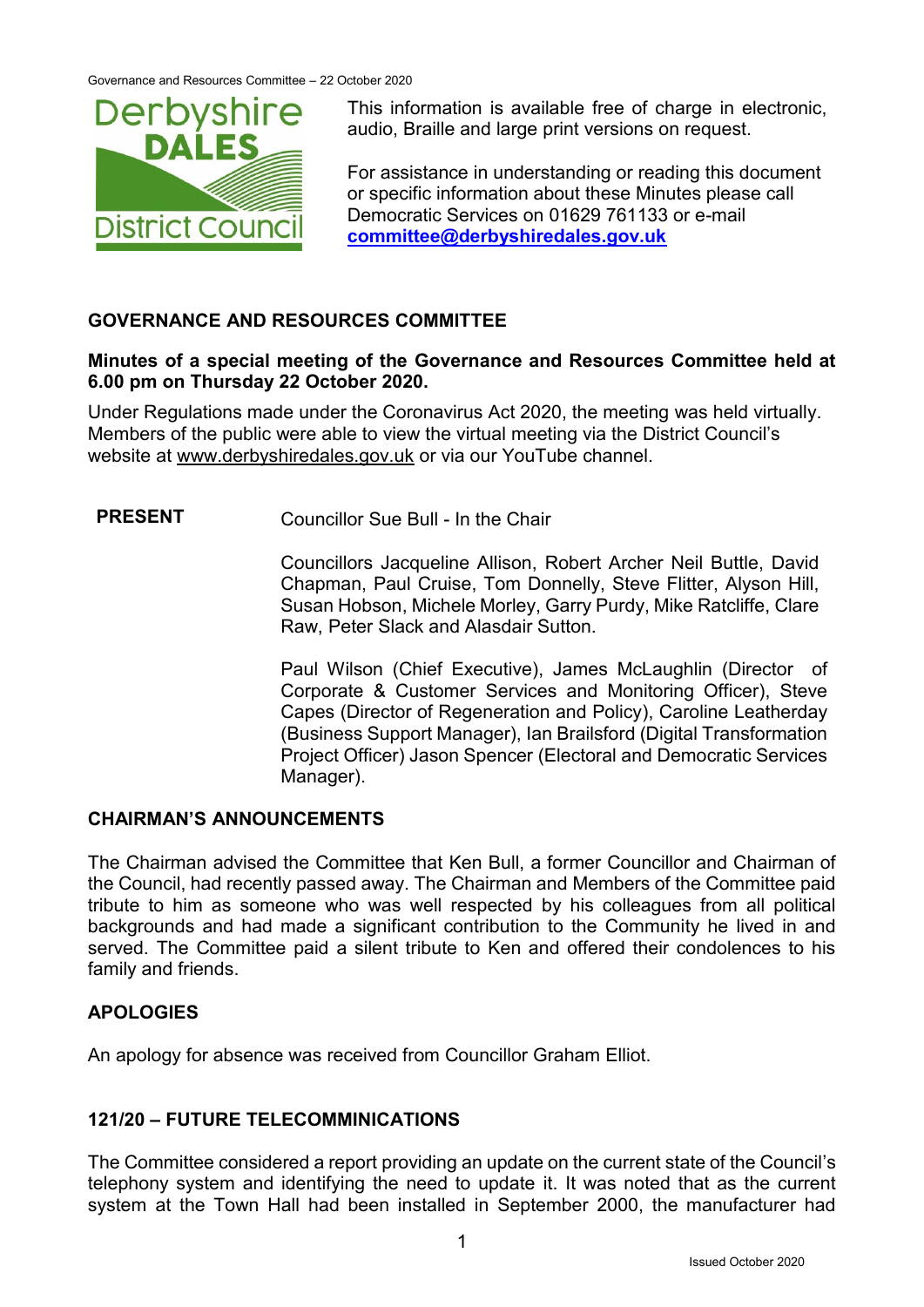

This information is available free of charge in electronic, audio, Braille and large print versions on request.

For assistance in understanding or reading this document or specific information about these Minutes please call Democratic Services on 01629 761133 or e-mail **[committee@derbyshiredales.gov.uk](mailto:committee@derbyshiredales.gov.uk)**

## **GOVERNANCE AND RESOURCES COMMITTEE**

### **Minutes of a special meeting of the Governance and Resources Committee held at 6.00 pm on Thursday 22 October 2020.**

Under Regulations made under the Coronavirus Act 2020, the meeting was held virtually. Members of the public were able to view the virtual meeting via the District Council's website at [www.derbyshiredales.gov.uk](http://www.derbyshiredales.gov.uk/) or via our YouTube channel.

**PRESENT** Councillor Sue Bull - In the Chair

Councillors Jacqueline Allison, Robert Archer Neil Buttle, David Chapman, Paul Cruise, Tom Donnelly, Steve Flitter, Alyson Hill, Susan Hobson, Michele Morley, Garry Purdy, Mike Ratcliffe, Clare Raw, Peter Slack and Alasdair Sutton.

Paul Wilson (Chief Executive), James McLaughlin (Director of Corporate & Customer Services and Monitoring Officer), Steve Capes (Director of Regeneration and Policy), Caroline Leatherday (Business Support Manager), Ian Brailsford (Digital Transformation Project Officer) Jason Spencer (Electoral and Democratic Services Manager).

### **CHAIRMAN'S ANNOUNCEMENTS**

The Chairman advised the Committee that Ken Bull, a former Councillor and Chairman of the Council, had recently passed away. The Chairman and Members of the Committee paid tribute to him as someone who was well respected by his colleagues from all political backgrounds and had made a significant contribution to the Community he lived in and served. The Committee paid a silent tribute to Ken and offered their condolences to his family and friends.

### **APOLOGIES**

An apology for absence was received from Councillor Graham Elliot.

### **121/20 – FUTURE TELECOMMINICATIONS**

The Committee considered a report providing an update on the current state of the Council's telephony system and identifying the need to update it. It was noted that as the current system at the Town Hall had been installed in September 2000, the manufacturer had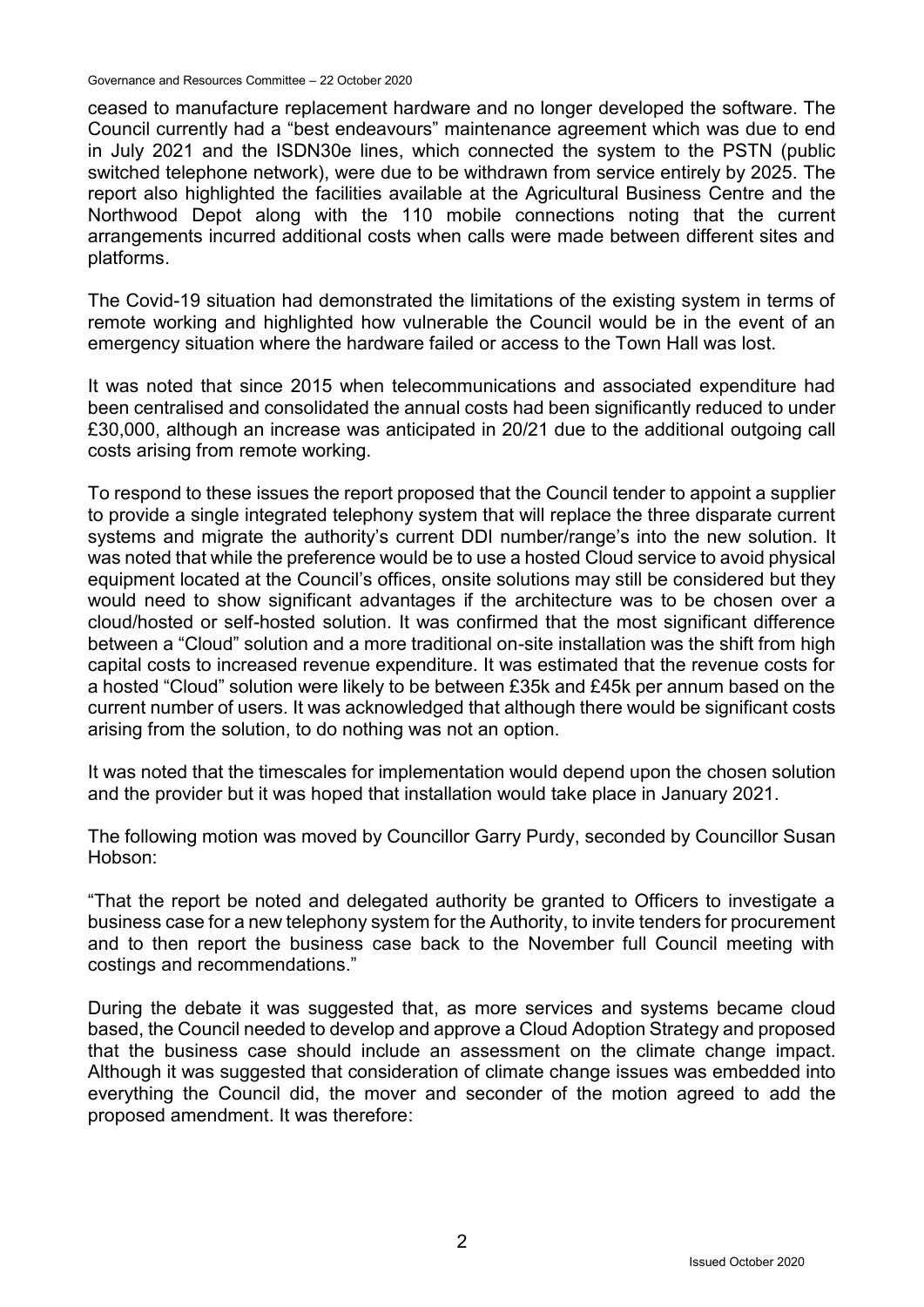Governance and Resources Committee – 22 October 2020

ceased to manufacture replacement hardware and no longer developed the software. The Council currently had a "best endeavours" maintenance agreement which was due to end in July 2021 and the ISDN30e lines, which connected the system to the PSTN (public switched telephone network), were due to be withdrawn from service entirely by 2025. The report also highlighted the facilities available at the Agricultural Business Centre and the Northwood Depot along with the 110 mobile connections noting that the current arrangements incurred additional costs when calls were made between different sites and platforms.

The Covid-19 situation had demonstrated the limitations of the existing system in terms of remote working and highlighted how vulnerable the Council would be in the event of an emergency situation where the hardware failed or access to the Town Hall was lost.

It was noted that since 2015 when telecommunications and associated expenditure had been centralised and consolidated the annual costs had been significantly reduced to under £30,000, although an increase was anticipated in 20/21 due to the additional outgoing call costs arising from remote working.

To respond to these issues the report proposed that the Council tender to appoint a supplier to provide a single integrated telephony system that will replace the three disparate current systems and migrate the authority's current DDI number/range's into the new solution. It was noted that while the preference would be to use a hosted Cloud service to avoid physical equipment located at the Council's offices, onsite solutions may still be considered but they would need to show significant advantages if the architecture was to be chosen over a cloud/hosted or self-hosted solution. It was confirmed that the most significant difference between a "Cloud" solution and a more traditional on-site installation was the shift from high capital costs to increased revenue expenditure. It was estimated that the revenue costs for a hosted "Cloud" solution were likely to be between £35k and £45k per annum based on the current number of users. It was acknowledged that although there would be significant costs arising from the solution, to do nothing was not an option.

It was noted that the timescales for implementation would depend upon the chosen solution and the provider but it was hoped that installation would take place in January 2021.

The following motion was moved by Councillor Garry Purdy, seconded by Councillor Susan Hobson:

"That the report be noted and delegated authority be granted to Officers to investigate a business case for a new telephony system for the Authority, to invite tenders for procurement and to then report the business case back to the November full Council meeting with costings and recommendations."

During the debate it was suggested that, as more services and systems became cloud based, the Council needed to develop and approve a Cloud Adoption Strategy and proposed that the business case should include an assessment on the climate change impact. Although it was suggested that consideration of climate change issues was embedded into everything the Council did, the mover and seconder of the motion agreed to add the proposed amendment. It was therefore: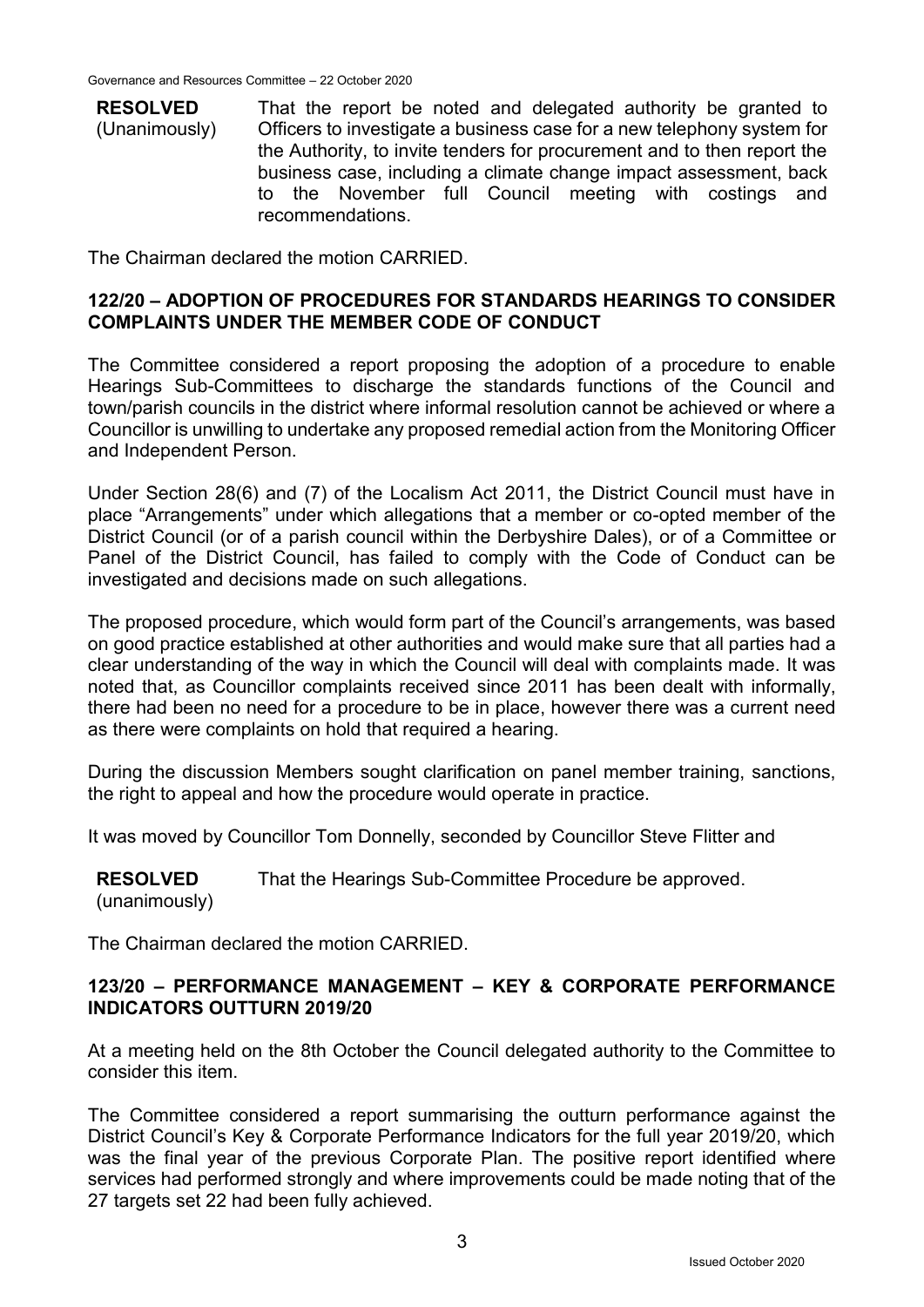**RESOLVED** (Unanimously) That the report be noted and delegated authority be granted to Officers to investigate a business case for a new telephony system for the Authority, to invite tenders for procurement and to then report the business case, including a climate change impact assessment, back to the November full Council meeting with costings and recommendations.

The Chairman declared the motion CARRIED.

#### **122/20 – ADOPTION OF PROCEDURES FOR STANDARDS HEARINGS TO CONSIDER COMPLAINTS UNDER THE MEMBER CODE OF CONDUCT**

The Committee considered a report proposing the adoption of a procedure to enable Hearings Sub-Committees to discharge the standards functions of the Council and town/parish councils in the district where informal resolution cannot be achieved or where a Councillor is unwilling to undertake any proposed remedial action from the Monitoring Officer and Independent Person.

Under Section 28(6) and (7) of the Localism Act 2011, the District Council must have in place "Arrangements" under which allegations that a member or co-opted member of the District Council (or of a parish council within the Derbyshire Dales), or of a Committee or Panel of the District Council, has failed to comply with the Code of Conduct can be investigated and decisions made on such allegations.

The proposed procedure, which would form part of the Council's arrangements, was based on good practice established at other authorities and would make sure that all parties had a clear understanding of the way in which the Council will deal with complaints made. It was noted that, as Councillor complaints received since 2011 has been dealt with informally, there had been no need for a procedure to be in place, however there was a current need as there were complaints on hold that required a hearing.

During the discussion Members sought clarification on panel member training, sanctions, the right to appeal and how the procedure would operate in practice.

It was moved by Councillor Tom Donnelly, seconded by Councillor Steve Flitter and

**RESOLVED** (unanimously) That the Hearings Sub-Committee Procedure be approved.

The Chairman declared the motion CARRIED.

#### **123/20 – PERFORMANCE MANAGEMENT – KEY & CORPORATE PERFORMANCE INDICATORS OUTTURN 2019/20**

At a meeting held on the 8th October the Council delegated authority to the Committee to consider this item.

The Committee considered a report summarising the outturn performance against the District Council's Key & Corporate Performance Indicators for the full year 2019/20, which was the final year of the previous Corporate Plan. The positive report identified where services had performed strongly and where improvements could be made noting that of the 27 targets set 22 had been fully achieved.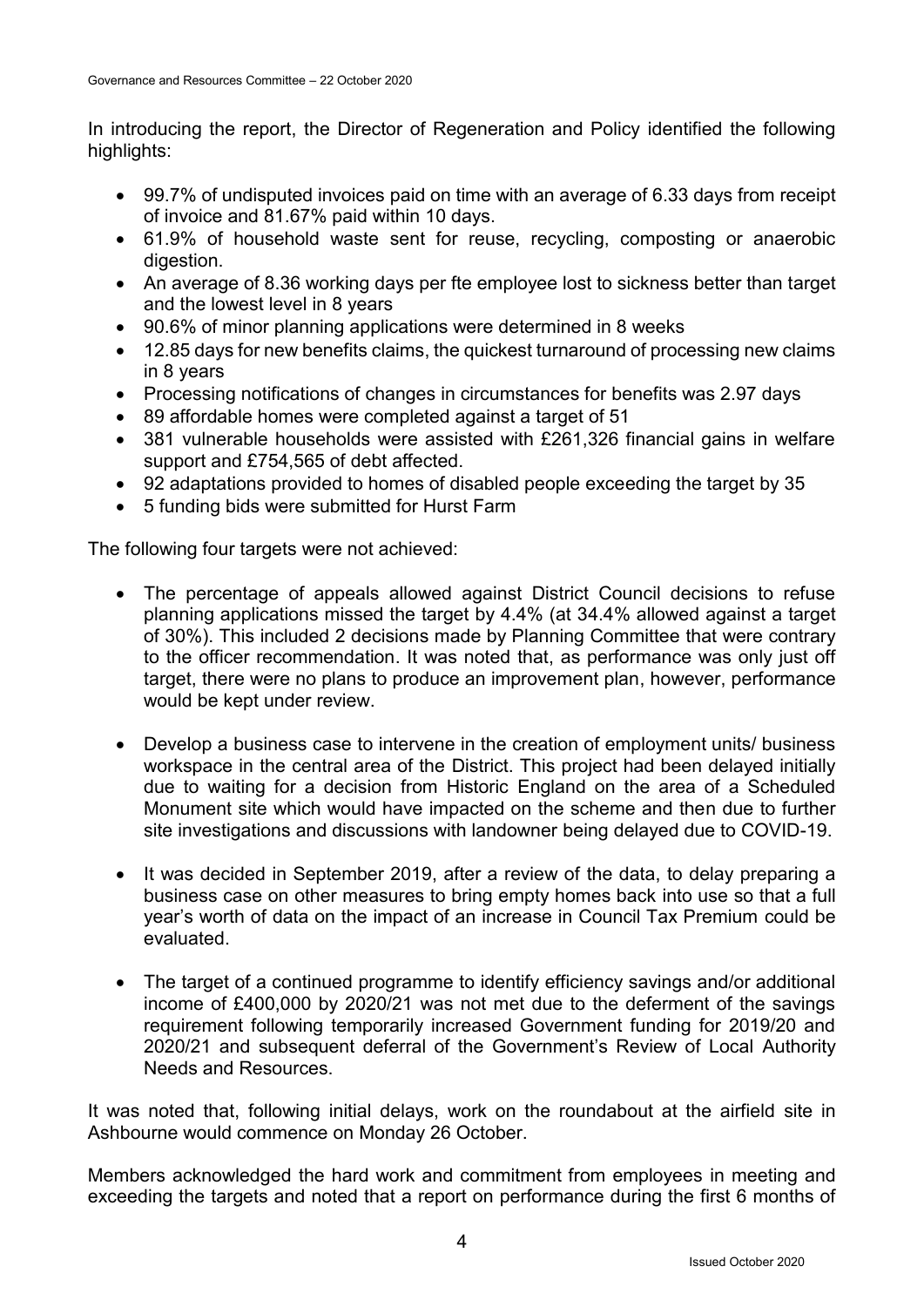In introducing the report, the Director of Regeneration and Policy identified the following highlights:

- 99.7% of undisputed invoices paid on time with an average of 6.33 days from receipt of invoice and 81.67% paid within 10 days.
- 61.9% of household waste sent for reuse, recycling, composting or anaerobic digestion.
- An average of 8.36 working days per fte employee lost to sickness better than target and the lowest level in 8 years
- 90.6% of minor planning applications were determined in 8 weeks
- 12.85 days for new benefits claims, the quickest turnaround of processing new claims in 8 years
- Processing notifications of changes in circumstances for benefits was 2.97 days
- 89 affordable homes were completed against a target of 51
- 381 vulnerable households were assisted with £261,326 financial gains in welfare support and £754,565 of debt affected.
- 92 adaptations provided to homes of disabled people exceeding the target by 35
- 5 funding bids were submitted for Hurst Farm

The following four targets were not achieved:

- The percentage of appeals allowed against District Council decisions to refuse planning applications missed the target by 4.4% (at 34.4% allowed against a target of 30%). This included 2 decisions made by Planning Committee that were contrary to the officer recommendation. It was noted that, as performance was only just off target, there were no plans to produce an improvement plan, however, performance would be kept under review.
- Develop a business case to intervene in the creation of employment units/ business workspace in the central area of the District. This project had been delayed initially due to waiting for a decision from Historic England on the area of a Scheduled Monument site which would have impacted on the scheme and then due to further site investigations and discussions with landowner being delayed due to COVID-19.
- It was decided in September 2019, after a review of the data, to delay preparing a business case on other measures to bring empty homes back into use so that a full year's worth of data on the impact of an increase in Council Tax Premium could be evaluated.
- The target of a continued programme to identify efficiency savings and/or additional income of £400,000 by 2020/21 was not met due to the deferment of the savings requirement following temporarily increased Government funding for 2019/20 and 2020/21 and subsequent deferral of the Government's Review of Local Authority Needs and Resources.

It was noted that, following initial delays, work on the roundabout at the airfield site in Ashbourne would commence on Monday 26 October.

Members acknowledged the hard work and commitment from employees in meeting and exceeding the targets and noted that a report on performance during the first 6 months of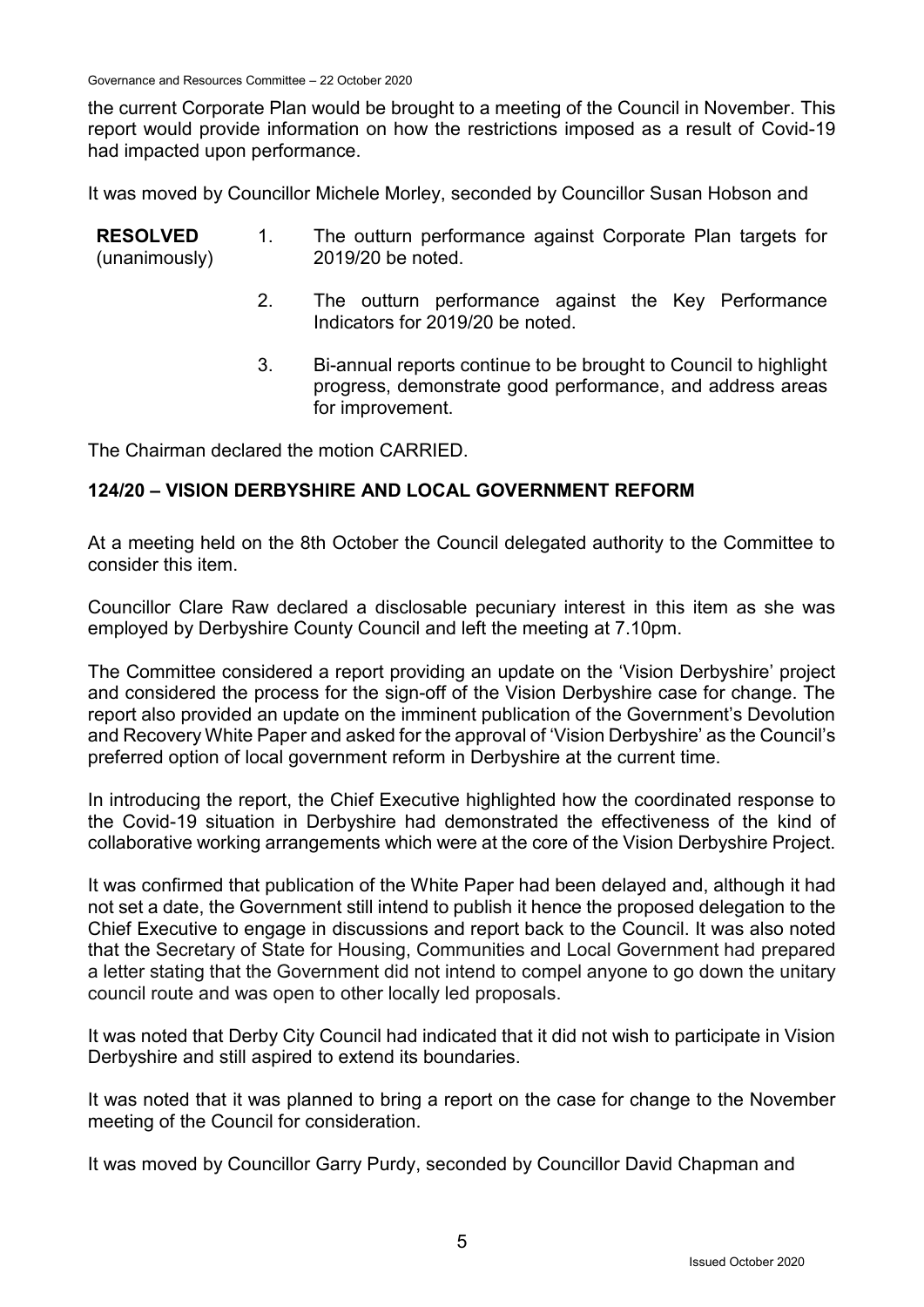Governance and Resources Committee – 22 October 2020

the current Corporate Plan would be brought to a meeting of the Council in November. This report would provide information on how the restrictions imposed as a result of Covid-19 had impacted upon performance.

It was moved by Councillor Michele Morley, seconded by Councillor Susan Hobson and

| <b>RESOLVED</b><br>(unanimously) | $1_{\cdot}$ | The outturn performance against Corporate Plan targets for<br>2019/20 be noted.                                                                   |
|----------------------------------|-------------|---------------------------------------------------------------------------------------------------------------------------------------------------|
|                                  |             | The outturn performance against the Key Performance<br>Indicators for 2019/20 be noted.                                                           |
|                                  | 3.          | Bi-annual reports continue to be brought to Council to highlight<br>progress, demonstrate good performance, and address areas<br>for improvement. |

The Chairman declared the motion CARRIED.

### **124/20 – VISION DERBYSHIRE AND LOCAL GOVERNMENT REFORM**

At a meeting held on the 8th October the Council delegated authority to the Committee to consider this item.

Councillor Clare Raw declared a disclosable pecuniary interest in this item as she was employed by Derbyshire County Council and left the meeting at 7.10pm.

The Committee considered a report providing an update on the 'Vision Derbyshire' project and considered the process for the sign-off of the Vision Derbyshire case for change. The report also provided an update on the imminent publication of the Government's Devolution and Recovery White Paper and asked for the approval of 'Vision Derbyshire' as the Council's preferred option of local government reform in Derbyshire at the current time.

In introducing the report, the Chief Executive highlighted how the coordinated response to the Covid-19 situation in Derbyshire had demonstrated the effectiveness of the kind of collaborative working arrangements which were at the core of the Vision Derbyshire Project.

It was confirmed that publication of the White Paper had been delayed and, although it had not set a date, the Government still intend to publish it hence the proposed delegation to the Chief Executive to engage in discussions and report back to the Council. It was also noted that the Secretary of State for Housing, Communities and Local Government had prepared a letter stating that the Government did not intend to compel anyone to go down the unitary council route and was open to other locally led proposals.

It was noted that Derby City Council had indicated that it did not wish to participate in Vision Derbyshire and still aspired to extend its boundaries.

It was noted that it was planned to bring a report on the case for change to the November meeting of the Council for consideration.

It was moved by Councillor Garry Purdy, seconded by Councillor David Chapman and